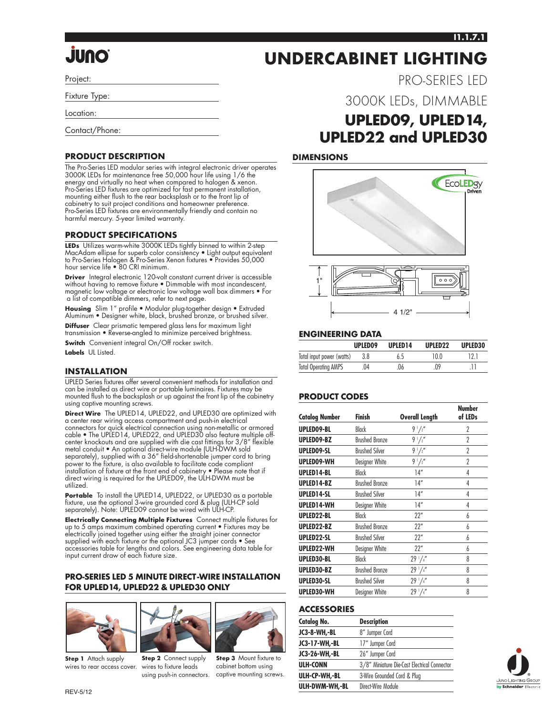#### **I1.1.7.1**

PRO-SERIES LED

# **JUNO**

Project:

Fixture Type:

Location:

Contact/Phone:

#### **PRODUCT DESCRIPTION**

The Pro-Series LED modular series with integral electronic driver operates 3000K LEDs for maintenance free 50,000 hour life using 1/6 the energy and virtually no heat when compared to halogen & xenon. Pro-Series LED fixtures are optimized for fast permanent installation, mounting either flush to the rear backsplash or to the front lip of cabinetry to suit project conditions and homeowner preference. Pro-Series LED fixtures are environmentally friendly and contain no harmful mercury. 5-year limited warranty.

#### **PRODUCT SPECIFICATIONS**

**LEDs** Utilizes warm-white 3000K LEDs tightly binned to within 2-step MacAdam ellipse for superb color consistency • Light output equivalent to Pro-Series Halogen & Pro-Series Xenon fixtures • Provides 50,000 hour service life • 80 CRI minimum.

**Driver** Integral electronic 120-volt constant current driver is accessible without having to remove fixture • Dimmable with most incandescent, magnetic low voltage or electronic low voltage wall box dimmers • For a list of compatible dimmers, refer to next page.

**Housing** Slim 1" profile • Modular plug-together design • Extruded Aluminum • Designer white, black, brushed bronze, or brushed silver.

**Diffuser** Clear prismatic tempered glass lens for maximum light transmission • Reverse-angled to minimize perceived brightness.

**Switch** Convenient integral On/Off rocker switch. **Labels** UL Listed.

#### **INSTALLATION**

UPLED Series fixtures offer several convenient methods for installation and can be installed as direct wire or portable luminaires. Fixtures may be mounted flush to the backsplash or up against the front lip of the cabinetry using captive mounting screws.

**Direct Wire** The UPLED14, UPLED22, and UPLED30 are optimized with a center rear wiring access compartment and push-in electrical connectors for quick electrical connection using non-metallic or armored cable • The UPLED14, UPLED22, and UPLED30 also feature multiple offcenter knockouts and are supplied with die cast fittings for 3/8" flexible metal conduit • An optional direct-wire module (ULH-DWM sold separately), supplied with a 36" field-shortenable jumper cord to bring power to the fixture, is also available to facilitate code compliant installation of fixture at the front end of cabinetry • Please note that if direct wiring is required for the UPLED09, the ULH-DWM must be utilized.

Portable To install the UPLED14, UPLED22, or UPLED30 as a portable fixture, use the optional 3-wire grounded cord & plug (ULH-CP sold separately). Note: UPLED09 cannot be wired with ULH-CP.

**Electrically Connecting Multiple Fixtures** Connect multiple fixtures for up to 5 amps maximum combined operating current • Fixtures may be electrically joined together using either the straight joiner connector supplied with each fixture or the optional JC3 jumper cords • See accessories table for lengths and colors. See engineering data table for input current draw of each fixture size.

#### **PRO-SERIES LED 5 MINUTE DIRECT-WIRE INSTALLATION FOR UPLED14, UPLED22 & UPLED30 ONLY**



**Step 1** Attach supply wires to rear access cover.



**Step 2** Connect supply wires to fixture leads



using push-in connectors. captive mounting screws. **Step 3** Mount fixture to cabinet bottom using

### 3000K LEDs, DIMMABLE **UPLED09, UPLED14, UPLED22 and UPLED30**

**UNDERCABINET LIGHTING**

#### **DIMENSIONS**





#### **ENGINEERING DATA**

|                             | UPLED09 | UPLED <sub>14</sub> | UPLED <sub>22</sub> | UPLED30 |
|-----------------------------|---------|---------------------|---------------------|---------|
| Total input power (watts)   | 3.8     | 65                  | 10 0                |         |
| <b>Total Operating AMPS</b> | 04      | .06                 | .09                 |         |

#### **PRODUCT CODES**

| <b>Catalog Number</b> | Finish                | <b>Overall Length</b> | <b>Number</b><br>of LEDs |
|-----------------------|-----------------------|-----------------------|--------------------------|
| UPLED09-BL            | Black                 | $9\frac{1}{2}$        | $\overline{2}$           |
| UPLED09-BZ            | <b>Brushed Bronze</b> | $9\frac{1}{2}$        | $\overline{2}$           |
| UPLED09-SL            | <b>Brushed Silver</b> | $9\frac{1}{2}$        | 2                        |
| UPLED09-WH            | Designer White        | $9\frac{1}{2}$        | 2                        |
| UPLED14-BL            | Black                 | 14"                   | 4                        |
| UPLED14-BZ            | <b>Brushed Bronze</b> | 14"                   | 4                        |
| UPLED14-SL            | <b>Brushed Silver</b> | 14"                   | 4                        |
| UPLED14-WH            | Designer White        | 14"                   | 4                        |
| UPLED22-BL            | Black                 | 22"                   | 6                        |
| UPLED22-BZ            | <b>Brushed Bronze</b> | 22"                   | 6                        |
| UPLED22-SL            | <b>Brushed Silver</b> | 22"                   | 6                        |
| UPLED22-WH            | Designer White        | 22"                   | 6                        |
| UPLED30-BL            | Black                 | 29'/4''               | 8                        |
| UPLED30-BZ            | <b>Brushed Bronze</b> | $29^{1}/4''$          | 8                        |
| UPLED30-SL            | <b>Brushed Silver</b> | 29'/4''               | 8                        |
| UPLED30-WH            | Designer White        | 29'/4''               | 8                        |

#### **ACCESSORIES**

| Catalog No.    | <b>Description</b>                           |  |
|----------------|----------------------------------------------|--|
| JC3-8-WH,-BL   | 8" Jumper Cord                               |  |
| JC3-17-WH,-BL  | 17" Jumper Cord                              |  |
| JC3-26-WH,-BL  | 26" Jumper Cord                              |  |
| ULH-CONN       | 3/8" Miniature Die-Cast Electrical Connector |  |
| ULH-CP-WH,-BL  | 3-Wire Grounded Cord & Plug                  |  |
| ULH-DWM-WH,-BL | Direct-Wire Module                           |  |